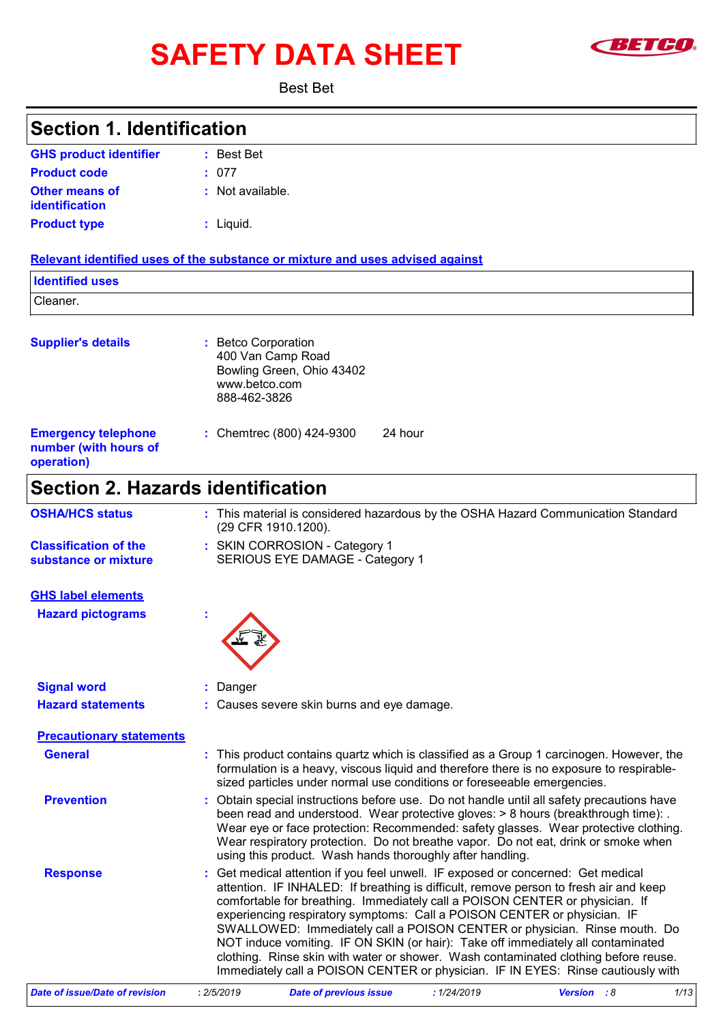# SAFETY DATA SHEET **SAFET OF SAFETY**



Best Bet

| <b>Section 1. Identification</b>                                  |                                                                                                                                                                                                                                                                                                                                                                                                                                                                                                                                                                                                                                                                                 |  |  |
|-------------------------------------------------------------------|---------------------------------------------------------------------------------------------------------------------------------------------------------------------------------------------------------------------------------------------------------------------------------------------------------------------------------------------------------------------------------------------------------------------------------------------------------------------------------------------------------------------------------------------------------------------------------------------------------------------------------------------------------------------------------|--|--|
| <b>GHS product identifier</b>                                     | : Best Bet                                                                                                                                                                                                                                                                                                                                                                                                                                                                                                                                                                                                                                                                      |  |  |
| <b>Product code</b>                                               | : 077                                                                                                                                                                                                                                                                                                                                                                                                                                                                                                                                                                                                                                                                           |  |  |
| Other means of<br><b>identification</b>                           | : Not available.                                                                                                                                                                                                                                                                                                                                                                                                                                                                                                                                                                                                                                                                |  |  |
| <b>Product type</b>                                               | $:$ Liquid.                                                                                                                                                                                                                                                                                                                                                                                                                                                                                                                                                                                                                                                                     |  |  |
|                                                                   | Relevant identified uses of the substance or mixture and uses advised against                                                                                                                                                                                                                                                                                                                                                                                                                                                                                                                                                                                                   |  |  |
| <b>Identified uses</b>                                            |                                                                                                                                                                                                                                                                                                                                                                                                                                                                                                                                                                                                                                                                                 |  |  |
| Cleaner.                                                          |                                                                                                                                                                                                                                                                                                                                                                                                                                                                                                                                                                                                                                                                                 |  |  |
| <b>Supplier's details</b>                                         | : Betco Corporation<br>400 Van Camp Road<br>Bowling Green, Ohio 43402<br>www.betco.com<br>888-462-3826                                                                                                                                                                                                                                                                                                                                                                                                                                                                                                                                                                          |  |  |
| <b>Emergency telephone</b><br>number (with hours of<br>operation) | : Chemtrec (800) 424-9300<br>24 hour                                                                                                                                                                                                                                                                                                                                                                                                                                                                                                                                                                                                                                            |  |  |
| <b>Section 2. Hazards identification</b>                          |                                                                                                                                                                                                                                                                                                                                                                                                                                                                                                                                                                                                                                                                                 |  |  |
| <b>OSHA/HCS status</b>                                            | : This material is considered hazardous by the OSHA Hazard Communication Standard<br>(29 CFR 1910.1200).                                                                                                                                                                                                                                                                                                                                                                                                                                                                                                                                                                        |  |  |
| <b>Classification of the</b><br>substance or mixture              | : SKIN CORROSION - Category 1<br>SERIOUS EYE DAMAGE - Category 1                                                                                                                                                                                                                                                                                                                                                                                                                                                                                                                                                                                                                |  |  |
| <b>GHS label elements</b>                                         |                                                                                                                                                                                                                                                                                                                                                                                                                                                                                                                                                                                                                                                                                 |  |  |
| <b>Hazard pictograms</b>                                          |                                                                                                                                                                                                                                                                                                                                                                                                                                                                                                                                                                                                                                                                                 |  |  |
| <b>Signal word</b>                                                | : Danger                                                                                                                                                                                                                                                                                                                                                                                                                                                                                                                                                                                                                                                                        |  |  |
| <b>Hazard statements</b>                                          | : Causes severe skin burns and eye damage.                                                                                                                                                                                                                                                                                                                                                                                                                                                                                                                                                                                                                                      |  |  |
| <b>Precautionary statements</b>                                   |                                                                                                                                                                                                                                                                                                                                                                                                                                                                                                                                                                                                                                                                                 |  |  |
| <b>General</b>                                                    | This product contains quartz which is classified as a Group 1 carcinogen. However, the<br>formulation is a heavy, viscous liquid and therefore there is no exposure to respirable-<br>sized particles under normal use conditions or foreseeable emergencies.                                                                                                                                                                                                                                                                                                                                                                                                                   |  |  |
| <b>Prevention</b>                                                 | Obtain special instructions before use. Do not handle until all safety precautions have<br>been read and understood. Wear protective gloves: $> 8$ hours (breakthrough time): .<br>Wear eye or face protection: Recommended: safety glasses. Wear protective clothing.<br>Wear respiratory protection. Do not breathe vapor. Do not eat, drink or smoke when<br>using this product. Wash hands thoroughly after handling.                                                                                                                                                                                                                                                       |  |  |
| <b>Response</b>                                                   | Get medical attention if you feel unwell. IF exposed or concerned: Get medical<br>attention. IF INHALED: If breathing is difficult, remove person to fresh air and keep<br>comfortable for breathing. Immediately call a POISON CENTER or physician. If<br>experiencing respiratory symptoms: Call a POISON CENTER or physician. IF<br>SWALLOWED: Immediately call a POISON CENTER or physician. Rinse mouth. Do<br>NOT induce vomiting. IF ON SKIN (or hair): Take off immediately all contaminated<br>clothing. Rinse skin with water or shower. Wash contaminated clothing before reuse.<br>Immediately call a POISON CENTER or physician. IF IN EYES: Rinse cautiously with |  |  |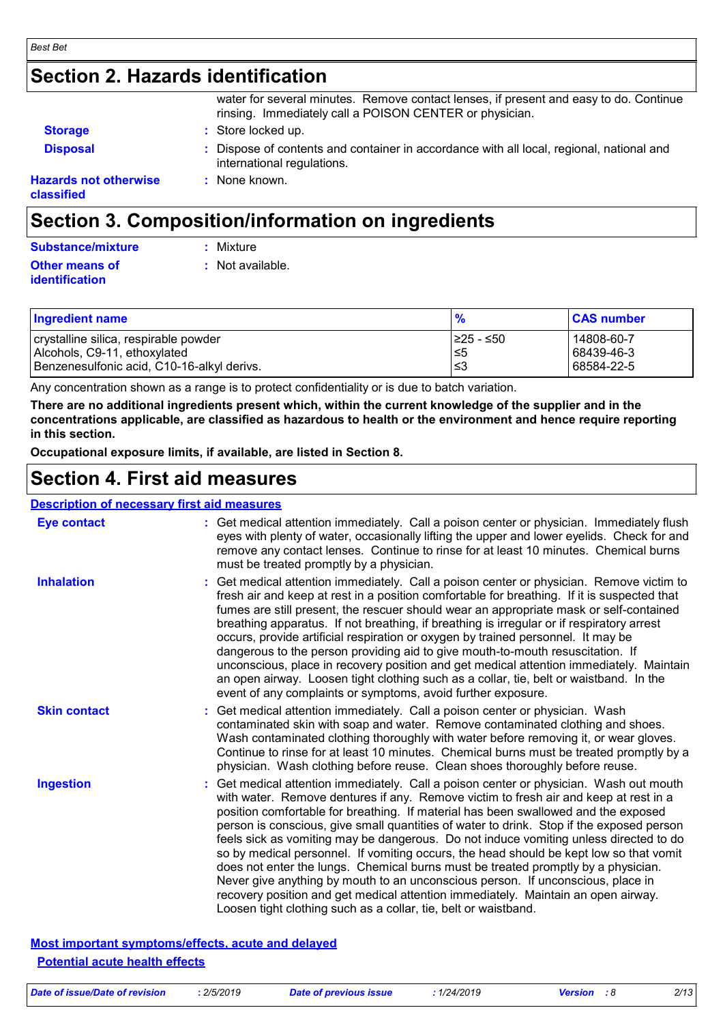#### *Best Bet*

### **Section 2. Hazards identification**

|                                            | water for several minutes. Remove contact lenses, if present and easy to do. Continue<br>rinsing. Immediately call a POISON CENTER or physician. |
|--------------------------------------------|--------------------------------------------------------------------------------------------------------------------------------------------------|
| <b>Storage</b>                             | : Store locked up.                                                                                                                               |
| <b>Disposal</b>                            | : Dispose of contents and container in accordance with all local, regional, national and<br>international regulations.                           |
| <b>Hazards not otherwise</b><br>classified | : None known.                                                                                                                                    |

### **Section 3. Composition/information on ingredients**

| Substance/mixture                | : Mixture          |
|----------------------------------|--------------------|
| Other means of<br>identification | $:$ Not available. |
|                                  |                    |

| <b>Ingredient name</b>                     | $\frac{9}{6}$ | <b>CAS number</b> |
|--------------------------------------------|---------------|-------------------|
| crystalline silica, respirable powder      | I≥25 - ≤50    | 14808-60-7        |
| Alcohols, C9-11, ethoxylated               | 1≤5           | 68439-46-3        |
| Benzenesulfonic acid, C10-16-alkyl derivs. | l≤3           | 68584-22-5        |

Any concentration shown as a range is to protect confidentiality or is due to batch variation.

**There are no additional ingredients present which, within the current knowledge of the supplier and in the concentrations applicable, are classified as hazardous to health or the environment and hence require reporting in this section.**

**Occupational exposure limits, if available, are listed in Section 8.**

### **Section 4. First aid measures**

#### **Description of necessary first aid measures**

| <b>Eye contact</b>  | : Get medical attention immediately. Call a poison center or physician. Immediately flush<br>eyes with plenty of water, occasionally lifting the upper and lower eyelids. Check for and<br>remove any contact lenses. Continue to rinse for at least 10 minutes. Chemical burns<br>must be treated promptly by a physician.                                                                                                                                                                                                                                                                                                                                                                                                                                                                                                                                                         |
|---------------------|-------------------------------------------------------------------------------------------------------------------------------------------------------------------------------------------------------------------------------------------------------------------------------------------------------------------------------------------------------------------------------------------------------------------------------------------------------------------------------------------------------------------------------------------------------------------------------------------------------------------------------------------------------------------------------------------------------------------------------------------------------------------------------------------------------------------------------------------------------------------------------------|
| <b>Inhalation</b>   | : Get medical attention immediately. Call a poison center or physician. Remove victim to<br>fresh air and keep at rest in a position comfortable for breathing. If it is suspected that<br>fumes are still present, the rescuer should wear an appropriate mask or self-contained<br>breathing apparatus. If not breathing, if breathing is irregular or if respiratory arrest<br>occurs, provide artificial respiration or oxygen by trained personnel. It may be<br>dangerous to the person providing aid to give mouth-to-mouth resuscitation. If<br>unconscious, place in recovery position and get medical attention immediately. Maintain<br>an open airway. Loosen tight clothing such as a collar, tie, belt or waistband. In the<br>event of any complaints or symptoms, avoid further exposure.                                                                           |
| <b>Skin contact</b> | : Get medical attention immediately. Call a poison center or physician. Wash<br>contaminated skin with soap and water. Remove contaminated clothing and shoes.<br>Wash contaminated clothing thoroughly with water before removing it, or wear gloves.<br>Continue to rinse for at least 10 minutes. Chemical burns must be treated promptly by a<br>physician. Wash clothing before reuse. Clean shoes thoroughly before reuse.                                                                                                                                                                                                                                                                                                                                                                                                                                                    |
| <b>Ingestion</b>    | : Get medical attention immediately. Call a poison center or physician. Wash out mouth<br>with water. Remove dentures if any. Remove victim to fresh air and keep at rest in a<br>position comfortable for breathing. If material has been swallowed and the exposed<br>person is conscious, give small quantities of water to drink. Stop if the exposed person<br>feels sick as vomiting may be dangerous. Do not induce vomiting unless directed to do<br>so by medical personnel. If vomiting occurs, the head should be kept low so that vomit<br>does not enter the lungs. Chemical burns must be treated promptly by a physician.<br>Never give anything by mouth to an unconscious person. If unconscious, place in<br>recovery position and get medical attention immediately. Maintain an open airway.<br>Loosen tight clothing such as a collar, tie, belt or waistband. |

#### **Most important symptoms/effects, acute and delayed Potential acute health effects**

|  | Date of issue/Date of revision | 2/5/2019 | Date of previous issue | 1/24/2019 | <b>Version</b> : 8 | 2/13 |
|--|--------------------------------|----------|------------------------|-----------|--------------------|------|
|--|--------------------------------|----------|------------------------|-----------|--------------------|------|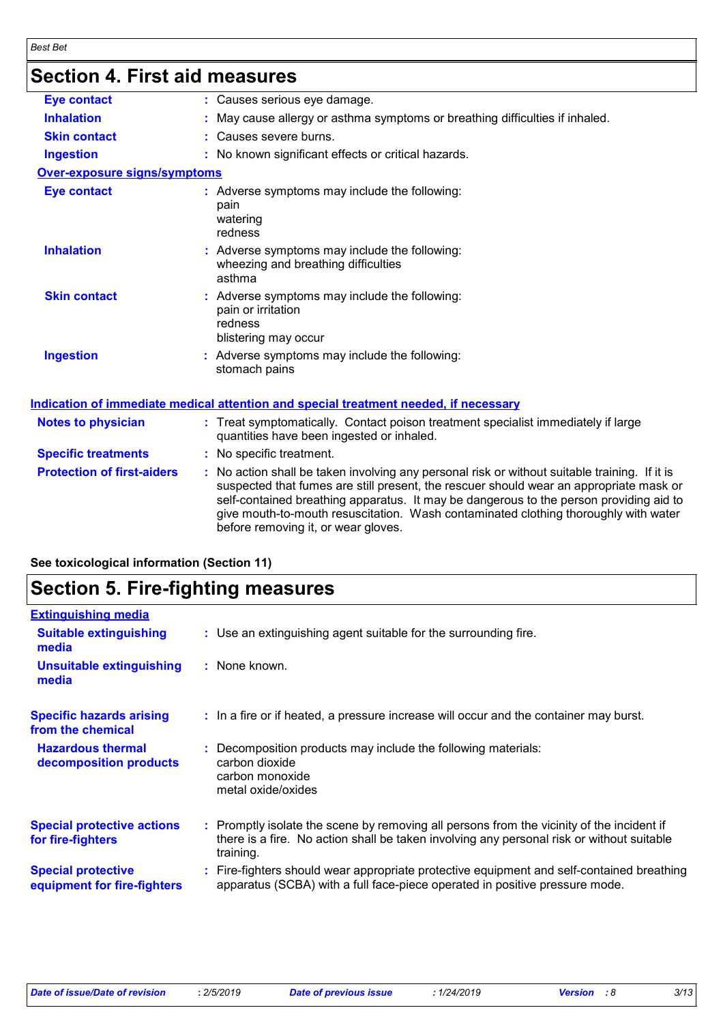# **Section 4. First aid measures**

| <b>Eye contact</b>                | : Causes serious eye damage.                                                                                                                                                                                                                                                                                                                                                                                    |
|-----------------------------------|-----------------------------------------------------------------------------------------------------------------------------------------------------------------------------------------------------------------------------------------------------------------------------------------------------------------------------------------------------------------------------------------------------------------|
| <b>Inhalation</b>                 | : May cause allergy or asthma symptoms or breathing difficulties if inhaled.                                                                                                                                                                                                                                                                                                                                    |
| <b>Skin contact</b>               | : Causes severe burns.                                                                                                                                                                                                                                                                                                                                                                                          |
| <b>Ingestion</b>                  | : No known significant effects or critical hazards.                                                                                                                                                                                                                                                                                                                                                             |
| Over-exposure signs/symptoms      |                                                                                                                                                                                                                                                                                                                                                                                                                 |
| <b>Eye contact</b>                | : Adverse symptoms may include the following:<br>pain<br>watering<br>redness                                                                                                                                                                                                                                                                                                                                    |
| <b>Inhalation</b>                 | : Adverse symptoms may include the following:<br>wheezing and breathing difficulties<br>asthma                                                                                                                                                                                                                                                                                                                  |
| <b>Skin contact</b>               | : Adverse symptoms may include the following:<br>pain or irritation<br>redness<br>blistering may occur                                                                                                                                                                                                                                                                                                          |
| <b>Ingestion</b>                  | : Adverse symptoms may include the following:<br>stomach pains                                                                                                                                                                                                                                                                                                                                                  |
|                                   | <u>Indication of immediate medical attention and special treatment needed, if necessary</u>                                                                                                                                                                                                                                                                                                                     |
| <b>Notes to physician</b>         | : Treat symptomatically. Contact poison treatment specialist immediately if large<br>quantities have been ingested or inhaled.                                                                                                                                                                                                                                                                                  |
| <b>Specific treatments</b>        | : No specific treatment.                                                                                                                                                                                                                                                                                                                                                                                        |
| <b>Protection of first-aiders</b> | : No action shall be taken involving any personal risk or without suitable training. If it is<br>suspected that fumes are still present, the rescuer should wear an appropriate mask or<br>self-contained breathing apparatus. It may be dangerous to the person providing aid to<br>give mouth-to-mouth resuscitation. Wash contaminated clothing thoroughly with water<br>before removing it, or wear gloves. |
|                                   |                                                                                                                                                                                                                                                                                                                                                                                                                 |

#### **See toxicological information (Section 11)**

### **Section 5. Fire-fighting measures**

| <b>Extinguishing media</b><br><b>Suitable extinguishing</b><br>: Use an extinguishing agent suitable for the surrounding fire.<br>media<br>: None known.<br><b>Unsuitable extinguishing</b><br>media<br><b>Specific hazards arising</b><br>: In a fire or if heated, a pressure increase will occur and the container may burst.<br>from the chemical<br><b>Hazardous thermal</b><br>Decomposition products may include the following materials:<br>carbon dioxide<br>decomposition products<br>carbon monoxide<br>metal oxide/oxides<br><b>Special protective actions</b><br>: Promptly isolate the scene by removing all persons from the vicinity of the incident if<br>there is a fire. No action shall be taken involving any personal risk or without suitable<br>for fire-fighters<br>training.<br><b>Special protective</b><br>apparatus (SCBA) with a full face-piece operated in positive pressure mode.<br>equipment for fire-fighters |                                                                                           |
|---------------------------------------------------------------------------------------------------------------------------------------------------------------------------------------------------------------------------------------------------------------------------------------------------------------------------------------------------------------------------------------------------------------------------------------------------------------------------------------------------------------------------------------------------------------------------------------------------------------------------------------------------------------------------------------------------------------------------------------------------------------------------------------------------------------------------------------------------------------------------------------------------------------------------------------------------|-------------------------------------------------------------------------------------------|
|                                                                                                                                                                                                                                                                                                                                                                                                                                                                                                                                                                                                                                                                                                                                                                                                                                                                                                                                                   |                                                                                           |
|                                                                                                                                                                                                                                                                                                                                                                                                                                                                                                                                                                                                                                                                                                                                                                                                                                                                                                                                                   |                                                                                           |
|                                                                                                                                                                                                                                                                                                                                                                                                                                                                                                                                                                                                                                                                                                                                                                                                                                                                                                                                                   |                                                                                           |
|                                                                                                                                                                                                                                                                                                                                                                                                                                                                                                                                                                                                                                                                                                                                                                                                                                                                                                                                                   |                                                                                           |
|                                                                                                                                                                                                                                                                                                                                                                                                                                                                                                                                                                                                                                                                                                                                                                                                                                                                                                                                                   |                                                                                           |
|                                                                                                                                                                                                                                                                                                                                                                                                                                                                                                                                                                                                                                                                                                                                                                                                                                                                                                                                                   |                                                                                           |
|                                                                                                                                                                                                                                                                                                                                                                                                                                                                                                                                                                                                                                                                                                                                                                                                                                                                                                                                                   | : Fire-fighters should wear appropriate protective equipment and self-contained breathing |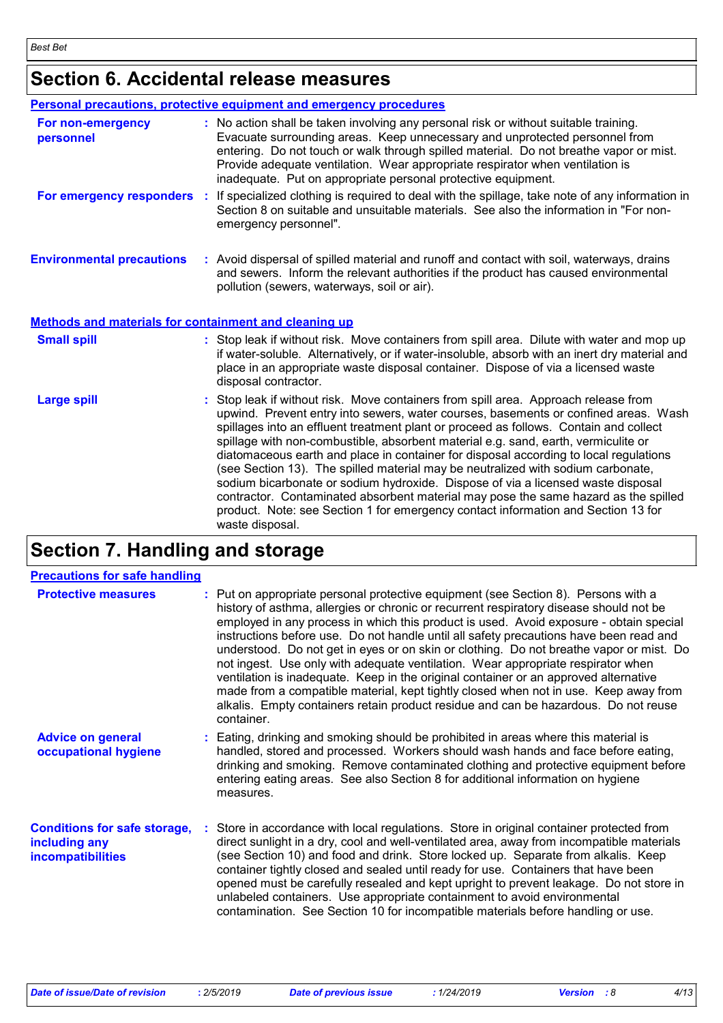# **Section 6. Accidental release measures**

|                                                              | Personal precautions, protective equipment and emergency procedures                                                                                                                                                                                                                                                                                                                                                                                                                                                                                                                                                                                                                                                                                                                                                       |
|--------------------------------------------------------------|---------------------------------------------------------------------------------------------------------------------------------------------------------------------------------------------------------------------------------------------------------------------------------------------------------------------------------------------------------------------------------------------------------------------------------------------------------------------------------------------------------------------------------------------------------------------------------------------------------------------------------------------------------------------------------------------------------------------------------------------------------------------------------------------------------------------------|
| For non-emergency<br>personnel                               | : No action shall be taken involving any personal risk or without suitable training.<br>Evacuate surrounding areas. Keep unnecessary and unprotected personnel from<br>entering. Do not touch or walk through spilled material. Do not breathe vapor or mist.<br>Provide adequate ventilation. Wear appropriate respirator when ventilation is<br>inadequate. Put on appropriate personal protective equipment.                                                                                                                                                                                                                                                                                                                                                                                                           |
| For emergency responders :                                   | If specialized clothing is required to deal with the spillage, take note of any information in<br>Section 8 on suitable and unsuitable materials. See also the information in "For non-<br>emergency personnel".                                                                                                                                                                                                                                                                                                                                                                                                                                                                                                                                                                                                          |
| <b>Environmental precautions</b>                             | : Avoid dispersal of spilled material and runoff and contact with soil, waterways, drains<br>and sewers. Inform the relevant authorities if the product has caused environmental<br>pollution (sewers, waterways, soil or air).                                                                                                                                                                                                                                                                                                                                                                                                                                                                                                                                                                                           |
| <b>Methods and materials for containment and cleaning up</b> |                                                                                                                                                                                                                                                                                                                                                                                                                                                                                                                                                                                                                                                                                                                                                                                                                           |
| <b>Small spill</b>                                           | : Stop leak if without risk. Move containers from spill area. Dilute with water and mop up<br>if water-soluble. Alternatively, or if water-insoluble, absorb with an inert dry material and<br>place in an appropriate waste disposal container. Dispose of via a licensed waste<br>disposal contractor.                                                                                                                                                                                                                                                                                                                                                                                                                                                                                                                  |
| <b>Large spill</b>                                           | : Stop leak if without risk. Move containers from spill area. Approach release from<br>upwind. Prevent entry into sewers, water courses, basements or confined areas. Wash<br>spillages into an effluent treatment plant or proceed as follows. Contain and collect<br>spillage with non-combustible, absorbent material e.g. sand, earth, vermiculite or<br>diatomaceous earth and place in container for disposal according to local regulations<br>(see Section 13). The spilled material may be neutralized with sodium carbonate,<br>sodium bicarbonate or sodium hydroxide. Dispose of via a licensed waste disposal<br>contractor. Contaminated absorbent material may pose the same hazard as the spilled<br>product. Note: see Section 1 for emergency contact information and Section 13 for<br>waste disposal. |

### **Section 7. Handling and storage**

| <b>Precautions for safe handling</b>                                             |                                                                                                                                                                                                                                                                                                                                                                                                                                                                                                                                                                                                                                                                                                                                                                                                                                      |
|----------------------------------------------------------------------------------|--------------------------------------------------------------------------------------------------------------------------------------------------------------------------------------------------------------------------------------------------------------------------------------------------------------------------------------------------------------------------------------------------------------------------------------------------------------------------------------------------------------------------------------------------------------------------------------------------------------------------------------------------------------------------------------------------------------------------------------------------------------------------------------------------------------------------------------|
| <b>Protective measures</b>                                                       | : Put on appropriate personal protective equipment (see Section 8). Persons with a<br>history of asthma, allergies or chronic or recurrent respiratory disease should not be<br>employed in any process in which this product is used. Avoid exposure - obtain special<br>instructions before use. Do not handle until all safety precautions have been read and<br>understood. Do not get in eyes or on skin or clothing. Do not breathe vapor or mist. Do<br>not ingest. Use only with adequate ventilation. Wear appropriate respirator when<br>ventilation is inadequate. Keep in the original container or an approved alternative<br>made from a compatible material, kept tightly closed when not in use. Keep away from<br>alkalis. Empty containers retain product residue and can be hazardous. Do not reuse<br>container. |
| <b>Advice on general</b><br>occupational hygiene                                 | : Eating, drinking and smoking should be prohibited in areas where this material is<br>handled, stored and processed. Workers should wash hands and face before eating,<br>drinking and smoking. Remove contaminated clothing and protective equipment before<br>entering eating areas. See also Section 8 for additional information on hygiene<br>measures.                                                                                                                                                                                                                                                                                                                                                                                                                                                                        |
| <b>Conditions for safe storage,</b><br>including any<br><b>incompatibilities</b> | : Store in accordance with local regulations. Store in original container protected from<br>direct sunlight in a dry, cool and well-ventilated area, away from incompatible materials<br>(see Section 10) and food and drink. Store locked up. Separate from alkalis. Keep<br>container tightly closed and sealed until ready for use. Containers that have been<br>opened must be carefully resealed and kept upright to prevent leakage. Do not store in<br>unlabeled containers. Use appropriate containment to avoid environmental<br>contamination. See Section 10 for incompatible materials before handling or use.                                                                                                                                                                                                           |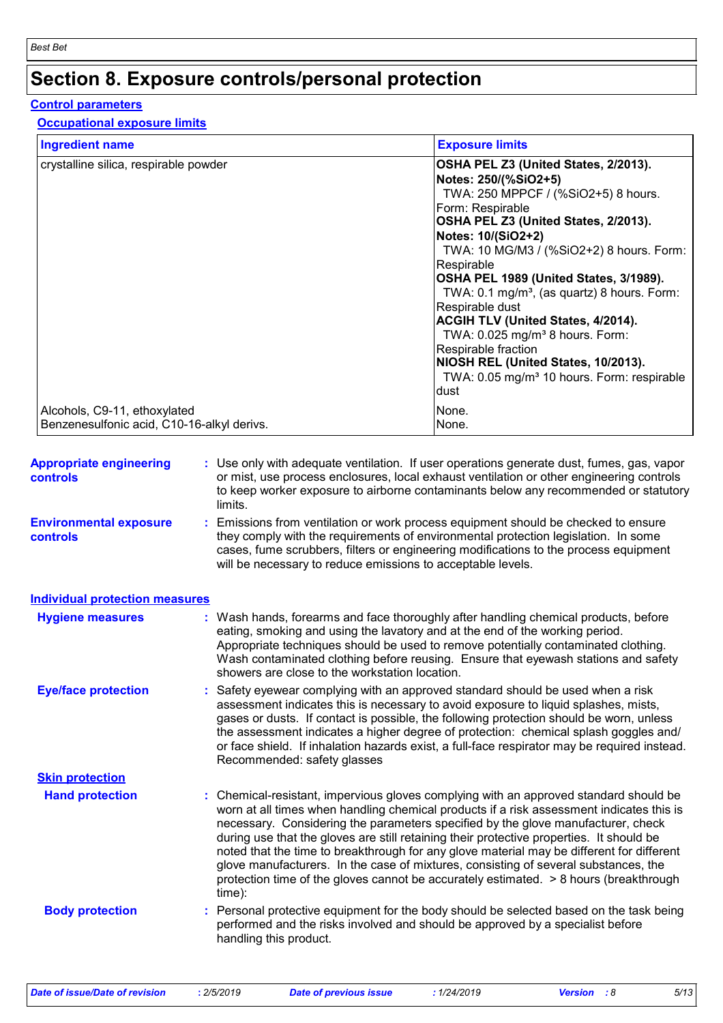# **Section 8. Exposure controls/personal protection**

#### **Control parameters**

#### **Occupational exposure limits**

| <b>Ingredient name</b>                                                     | <b>Exposure limits</b>                                                                                                                                                                                                                                                                                                                                                                                                                                                                                                                                                                                 |
|----------------------------------------------------------------------------|--------------------------------------------------------------------------------------------------------------------------------------------------------------------------------------------------------------------------------------------------------------------------------------------------------------------------------------------------------------------------------------------------------------------------------------------------------------------------------------------------------------------------------------------------------------------------------------------------------|
| crystalline silica, respirable powder                                      | OSHA PEL Z3 (United States, 2/2013).<br>Notes: 250/(%SiO2+5)<br>TWA: 250 MPPCF / (%SiO2+5) 8 hours.<br>Form: Respirable<br>OSHA PEL Z3 (United States, 2/2013).<br>Notes: 10/(SiO2+2)<br>TWA: 10 MG/M3 / (%SiO2+2) 8 hours. Form:<br>Respirable<br>OSHA PEL 1989 (United States, 3/1989).<br>TWA: 0.1 mg/m <sup>3</sup> , (as quartz) 8 hours. Form:<br>Respirable dust<br><b>ACGIH TLV (United States, 4/2014).</b><br>TWA: $0.025$ mg/m <sup>3</sup> 8 hours. Form:<br>Respirable fraction<br>NIOSH REL (United States, 10/2013).<br>TWA: 0.05 mg/m <sup>3</sup> 10 hours. Form: respirable<br>ldust |
| Alcohols, C9-11, ethoxylated<br>Benzenesulfonic acid, C10-16-alkyl derivs. | None.<br>None.                                                                                                                                                                                                                                                                                                                                                                                                                                                                                                                                                                                         |

| <b>Appropriate engineering</b><br>controls | : Use only with adequate ventilation. If user operations generate dust, fumes, gas, vapor<br>or mist, use process enclosures, local exhaust ventilation or other engineering controls<br>to keep worker exposure to airborne contaminants below any recommended or statutory<br>limits.                                                                                                                                                                                                                                                                                                                                                                  |
|--------------------------------------------|----------------------------------------------------------------------------------------------------------------------------------------------------------------------------------------------------------------------------------------------------------------------------------------------------------------------------------------------------------------------------------------------------------------------------------------------------------------------------------------------------------------------------------------------------------------------------------------------------------------------------------------------------------|
| <b>Environmental exposure</b><br>controls  | : Emissions from ventilation or work process equipment should be checked to ensure<br>they comply with the requirements of environmental protection legislation. In some<br>cases, fume scrubbers, filters or engineering modifications to the process equipment<br>will be necessary to reduce emissions to acceptable levels.                                                                                                                                                                                                                                                                                                                          |
| <b>Individual protection measures</b>      |                                                                                                                                                                                                                                                                                                                                                                                                                                                                                                                                                                                                                                                          |
| <b>Hygiene measures</b>                    | : Wash hands, forearms and face thoroughly after handling chemical products, before<br>eating, smoking and using the lavatory and at the end of the working period.<br>Appropriate techniques should be used to remove potentially contaminated clothing.<br>Wash contaminated clothing before reusing. Ensure that eyewash stations and safety<br>showers are close to the workstation location.                                                                                                                                                                                                                                                        |
| <b>Eye/face protection</b>                 | : Safety eyewear complying with an approved standard should be used when a risk<br>assessment indicates this is necessary to avoid exposure to liquid splashes, mists,<br>gases or dusts. If contact is possible, the following protection should be worn, unless<br>the assessment indicates a higher degree of protection: chemical splash goggles and/<br>or face shield. If inhalation hazards exist, a full-face respirator may be required instead.<br>Recommended: safety glasses                                                                                                                                                                 |
| <b>Skin protection</b>                     |                                                                                                                                                                                                                                                                                                                                                                                                                                                                                                                                                                                                                                                          |
| <b>Hand protection</b>                     | : Chemical-resistant, impervious gloves complying with an approved standard should be<br>worn at all times when handling chemical products if a risk assessment indicates this is<br>necessary. Considering the parameters specified by the glove manufacturer, check<br>during use that the gloves are still retaining their protective properties. It should be<br>noted that the time to breakthrough for any glove material may be different for different<br>glove manufacturers. In the case of mixtures, consisting of several substances, the<br>protection time of the gloves cannot be accurately estimated. > 8 hours (breakthrough<br>time): |
| <b>Body protection</b>                     | : Personal protective equipment for the body should be selected based on the task being<br>performed and the risks involved and should be approved by a specialist before<br>handling this product.                                                                                                                                                                                                                                                                                                                                                                                                                                                      |
|                                            |                                                                                                                                                                                                                                                                                                                                                                                                                                                                                                                                                                                                                                                          |

*Date of issue/Date of revision* **:** *2/5/2019 Date of previous issue : 1/24/2019 Version : 8 5/13*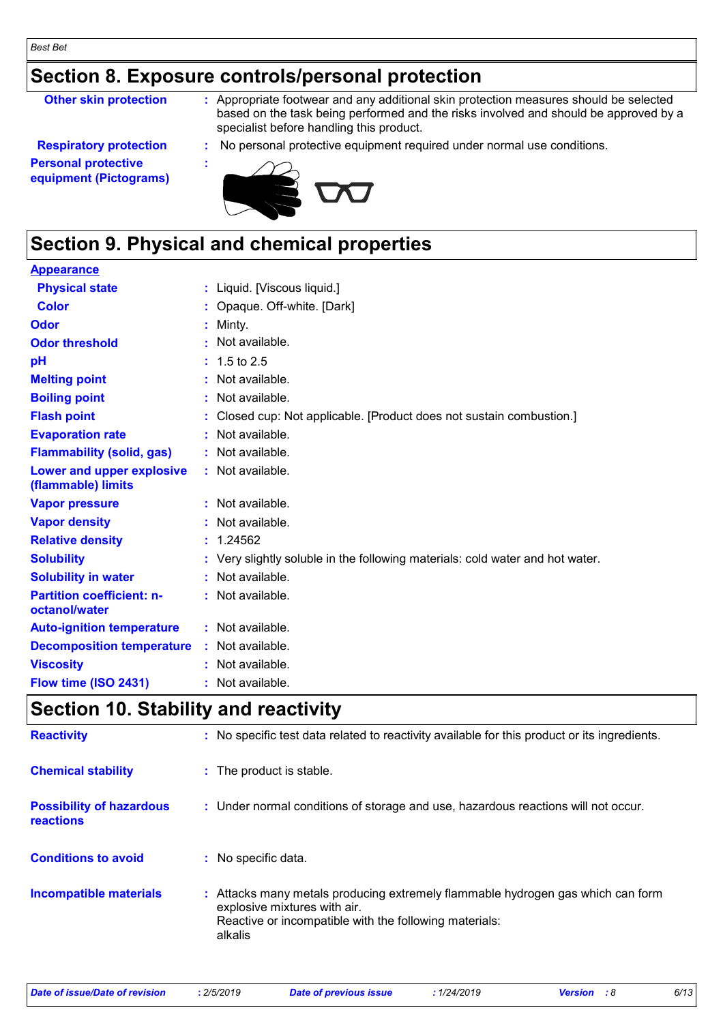### **Section 8. Exposure controls/personal protection**

**Other skin protection :** Appropriate footwear and any additional skin protection measures should be selected based on the task being performed and the risks involved and should be approved by a specialist before handling this product.

**Respiratory protection :** No personal protective equipment required under normal use conditions. **Personal protective equipment (Pictograms)**



### **Section 9. Physical and chemical properties**

### **Appearance**

| <b>Physical state</b>                             | : Liquid. [Viscous liquid.]                                                   |
|---------------------------------------------------|-------------------------------------------------------------------------------|
| <b>Color</b>                                      | : Opaque. Off-white. [Dark]                                                   |
| Odor                                              | $:$ Minty.                                                                    |
| <b>Odor threshold</b>                             | : Not available.                                                              |
| pH                                                | $: 1.5 \text{ to } 2.5$                                                       |
| <b>Melting point</b>                              | : Not available.                                                              |
| <b>Boiling point</b>                              | : Not available.                                                              |
| <b>Flash point</b>                                | : Closed cup: Not applicable. [Product does not sustain combustion.]          |
| <b>Evaporation rate</b>                           | : Not available.                                                              |
| <b>Flammability (solid, gas)</b>                  | : Not available.                                                              |
| Lower and upper explosive<br>(flammable) limits   | : Not available.                                                              |
| <b>Vapor pressure</b>                             | : Not available.                                                              |
| <b>Vapor density</b>                              | : Not available.                                                              |
| <b>Relative density</b>                           | : 1.24562                                                                     |
| <b>Solubility</b>                                 | : Very slightly soluble in the following materials: cold water and hot water. |
| <b>Solubility in water</b>                        | : Not available.                                                              |
| <b>Partition coefficient: n-</b><br>octanol/water | : Not available.                                                              |
| <b>Auto-ignition temperature</b>                  | : Not available.                                                              |
| <b>Decomposition temperature</b>                  | : Not available.                                                              |
| <b>Viscosity</b>                                  | : Not available.                                                              |
| Flow time (ISO 2431)                              | : Not available.                                                              |

### **Section 10. Stability and reactivity**

| <b>Reactivity</b>                                   | : No specific test data related to reactivity available for this product or its ingredients.                                                                                         |
|-----------------------------------------------------|--------------------------------------------------------------------------------------------------------------------------------------------------------------------------------------|
| <b>Chemical stability</b>                           | : The product is stable.                                                                                                                                                             |
| <b>Possibility of hazardous</b><br><b>reactions</b> | : Under normal conditions of storage and use, hazardous reactions will not occur.                                                                                                    |
| <b>Conditions to avoid</b>                          | : No specific data.                                                                                                                                                                  |
| <b>Incompatible materials</b>                       | : Attacks many metals producing extremely flammable hydrogen gas which can form<br>explosive mixtures with air.<br>Reactive or incompatible with the following materials:<br>alkalis |

*Date of issue/Date of revision* **:** *2/5/2019 Date of previous issue : 1/24/2019 Version : 8 6/13*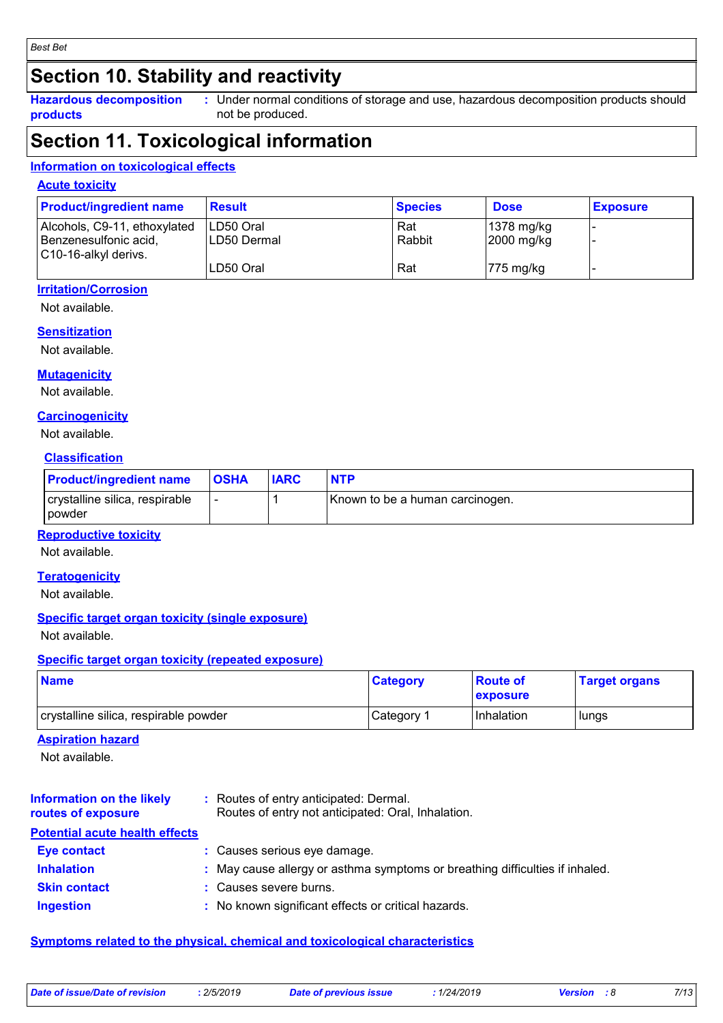### **Section 10. Stability and reactivity**

**Hazardous decomposition products** Under normal conditions of storage and use, hazardous decomposition products should **:** not be produced.

### **Section 11. Toxicological information**

#### **Information on toxicological effects**

#### **Acute toxicity**

| <b>Product/ingredient name</b>                                                | <b>Result</b>              | <b>Species</b> | <b>Dose</b>                            | <b>Exposure</b> |
|-------------------------------------------------------------------------------|----------------------------|----------------|----------------------------------------|-----------------|
| Alcohols, C9-11, ethoxylated<br>Benzenesulfonic acid,<br>C10-16-alkyl derivs. | ILD50 Oral<br>ILD50 Dermal | Rat<br>Rabbit  | $ 1378 \text{ mg/kg} $<br>$2000$ mg/kg |                 |
|                                                                               | LD50 Oral                  | Rat            | $ 775 \text{ mg/kg} $                  |                 |

#### **Irritation/Corrosion**

Not available.

#### **Sensitization**

Not available.

#### **Mutagenicity**

Not available.

#### **Carcinogenicity**

Not available.

#### **Classification**

| <b>Product/ingredient name</b>           | <b>OSHA</b> | <b>IARC</b> | <b>NTP</b>                      |
|------------------------------------------|-------------|-------------|---------------------------------|
| crystalline silica, respirable<br>powder |             |             | Known to be a human carcinogen. |

#### **Reproductive toxicity**

Not available.

#### **Teratogenicity**

Not available.

#### **Specific target organ toxicity (single exposure)**

Not available.

#### **Specific target organ toxicity (repeated exposure)**

| <b>Name</b>                           | <b>Category</b> | <b>Route of</b><br><b>exposure</b> | <b>Target organs</b> |
|---------------------------------------|-----------------|------------------------------------|----------------------|
| crystalline silica, respirable powder | Category 1      | Inhalation                         | ∣lungs               |

#### **Aspiration hazard**

Not available.

| <b>Information on the likely</b><br>routes of exposure | : Routes of entry anticipated: Dermal.<br>Routes of entry not anticipated: Oral, Inhalation. |
|--------------------------------------------------------|----------------------------------------------------------------------------------------------|
| <b>Potential acute health effects</b>                  |                                                                                              |
| <b>Eye contact</b>                                     | : Causes serious eye damage.                                                                 |
| <b>Inhalation</b>                                      | : May cause allergy or asthma symptoms or breathing difficulties if inhaled.                 |
| <b>Skin contact</b>                                    | : Causes severe burns.                                                                       |
| <b>Ingestion</b>                                       | : No known significant effects or critical hazards.                                          |

#### **Symptoms related to the physical, chemical and toxicological characteristics**

| Date of issue/Date of revision | 2/5/2019 | <b>Date of previous issue</b> | 1/24/2019 | <b>Version</b> : 8 | 7/13 |
|--------------------------------|----------|-------------------------------|-----------|--------------------|------|
|                                |          |                               |           |                    |      |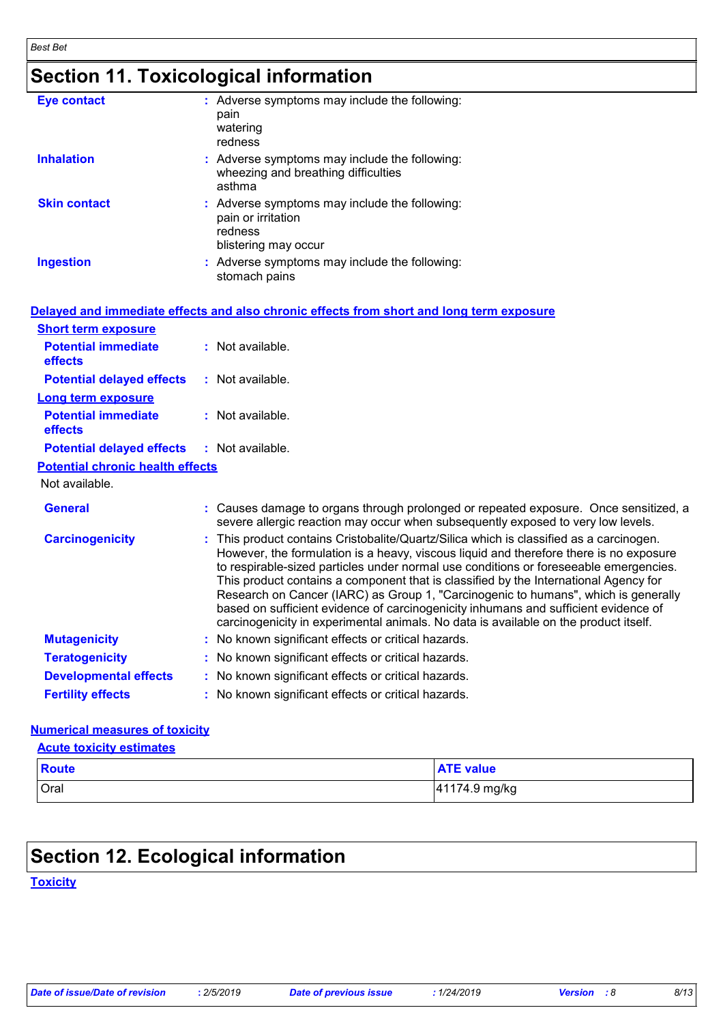*Best Bet*

# **Section 11. Toxicological information**

| <b>Eye contact</b>  | : Adverse symptoms may include the following:<br>pain<br>watering<br>redness                           |
|---------------------|--------------------------------------------------------------------------------------------------------|
| <b>Inhalation</b>   | : Adverse symptoms may include the following:<br>wheezing and breathing difficulties<br>asthma         |
| <b>Skin contact</b> | : Adverse symptoms may include the following:<br>pain or irritation<br>redness<br>blistering may occur |
| <b>Ingestion</b>    | : Adverse symptoms may include the following:<br>stomach pains                                         |

|                                              | Delayed and immediate effects and also chronic effects from short and long term exposure                                                                                                                                                                                                                                                                                                                                                                                                                                                                                                                                                |
|----------------------------------------------|-----------------------------------------------------------------------------------------------------------------------------------------------------------------------------------------------------------------------------------------------------------------------------------------------------------------------------------------------------------------------------------------------------------------------------------------------------------------------------------------------------------------------------------------------------------------------------------------------------------------------------------------|
| <b>Short term exposure</b>                   |                                                                                                                                                                                                                                                                                                                                                                                                                                                                                                                                                                                                                                         |
| <b>Potential immediate</b><br>effects        | : Not available.                                                                                                                                                                                                                                                                                                                                                                                                                                                                                                                                                                                                                        |
| <b>Potential delayed effects</b>             | $:$ Not available.                                                                                                                                                                                                                                                                                                                                                                                                                                                                                                                                                                                                                      |
| Long term exposure                           |                                                                                                                                                                                                                                                                                                                                                                                                                                                                                                                                                                                                                                         |
| <b>Potential immediate</b><br><b>effects</b> | $:$ Not available.                                                                                                                                                                                                                                                                                                                                                                                                                                                                                                                                                                                                                      |
| <b>Potential delayed effects</b>             | : Not available.                                                                                                                                                                                                                                                                                                                                                                                                                                                                                                                                                                                                                        |
| <b>Potential chronic health effects</b>      |                                                                                                                                                                                                                                                                                                                                                                                                                                                                                                                                                                                                                                         |
| Not available.                               |                                                                                                                                                                                                                                                                                                                                                                                                                                                                                                                                                                                                                                         |
| <b>General</b>                               | : Causes damage to organs through prolonged or repeated exposure. Once sensitized, a<br>severe allergic reaction may occur when subsequently exposed to very low levels.                                                                                                                                                                                                                                                                                                                                                                                                                                                                |
| <b>Carcinogenicity</b>                       | : This product contains Cristobalite/Quartz/Silica which is classified as a carcinogen.<br>However, the formulation is a heavy, viscous liquid and therefore there is no exposure<br>to respirable-sized particles under normal use conditions or foreseeable emergencies.<br>This product contains a component that is classified by the International Agency for<br>Research on Cancer (IARC) as Group 1, "Carcinogenic to humans", which is generally<br>based on sufficient evidence of carcinogenicity inhumans and sufficient evidence of<br>carcinogenicity in experimental animals. No data is available on the product itself. |
| <b>Mutagenicity</b>                          | : No known significant effects or critical hazards.                                                                                                                                                                                                                                                                                                                                                                                                                                                                                                                                                                                     |
| <b>Teratogenicity</b>                        | : No known significant effects or critical hazards.                                                                                                                                                                                                                                                                                                                                                                                                                                                                                                                                                                                     |
| <b>Developmental effects</b>                 | : No known significant effects or critical hazards.                                                                                                                                                                                                                                                                                                                                                                                                                                                                                                                                                                                     |
| <b>Fertility effects</b>                     | : No known significant effects or critical hazards.                                                                                                                                                                                                                                                                                                                                                                                                                                                                                                                                                                                     |
|                                              |                                                                                                                                                                                                                                                                                                                                                                                                                                                                                                                                                                                                                                         |

#### **Numerical measures of toxicity**

|  | <b>Acute toxicity estimates</b> |  |
|--|---------------------------------|--|
|  |                                 |  |

| <b>Route</b> | <b>ATE value</b> |
|--------------|------------------|
| Oral         | 41174.9 mg/kg    |

## **Section 12. Ecological information**

**Toxicity**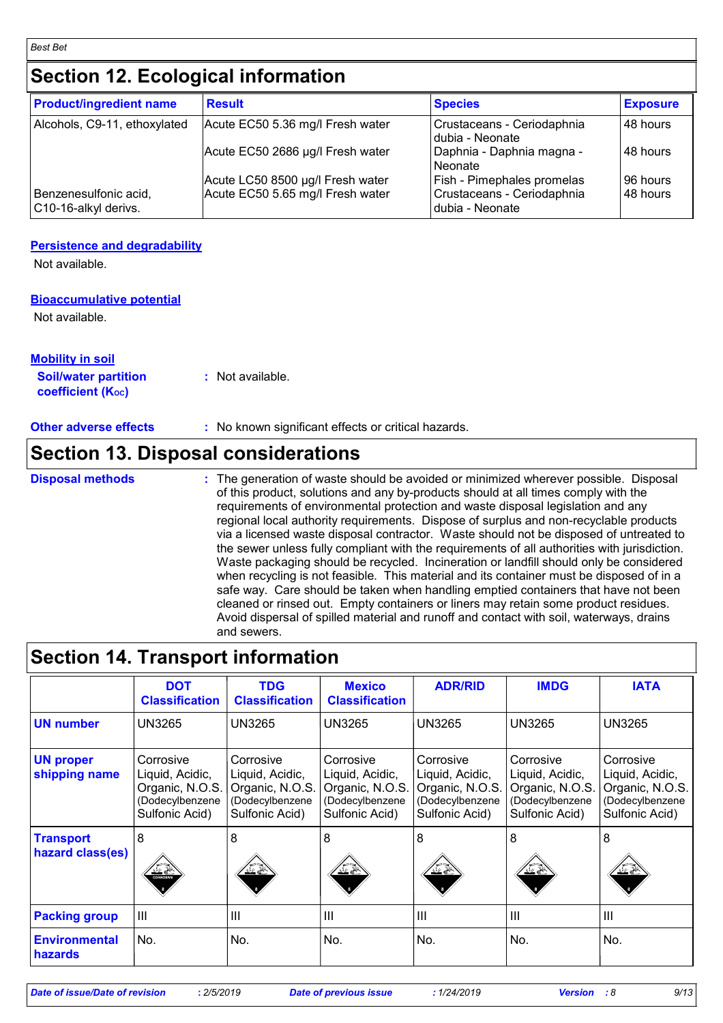### **Section 12. Ecological information**

| <b>Product/ingredient name</b>                | <b>Result</b>                    | <b>Species</b>                                | <b>Exposure</b> |
|-----------------------------------------------|----------------------------------|-----------------------------------------------|-----------------|
| Alcohols, C9-11, ethoxylated                  | Acute EC50 5.36 mg/l Fresh water | Crustaceans - Ceriodaphnia<br>dubia - Neonate | 48 hours        |
|                                               | Acute EC50 2686 µg/l Fresh water | Daphnia - Daphnia magna -<br>Neonate          | l 48 hours      |
|                                               | Acute LC50 8500 µg/l Fresh water | Fish - Pimephales promelas                    | 96 hours        |
| Benzenesulfonic acid,<br>C10-16-alkyl derivs. | Acute EC50 5.65 mg/l Fresh water | Crustaceans - Ceriodaphnia<br>dubia - Neonate | 48 hours        |

#### **Persistence and degradability**

Not available.

#### **Bioaccumulative potential**

Not available.

| Mobility in soil            |                  |
|-----------------------------|------------------|
| <b>Soil/water partition</b> | : Not available. |
| <b>coefficient (Koc)</b>    |                  |

**Other adverse effects** : No known significant effects or critical hazards.

### **Section 13. Disposal considerations**

**Disposal methods :**

The generation of waste should be avoided or minimized wherever possible. Disposal of this product, solutions and any by-products should at all times comply with the requirements of environmental protection and waste disposal legislation and any regional local authority requirements. Dispose of surplus and non-recyclable products via a licensed waste disposal contractor. Waste should not be disposed of untreated to the sewer unless fully compliant with the requirements of all authorities with jurisdiction. Waste packaging should be recycled. Incineration or landfill should only be considered when recycling is not feasible. This material and its container must be disposed of in a safe way. Care should be taken when handling emptied containers that have not been cleaned or rinsed out. Empty containers or liners may retain some product residues. Avoid dispersal of spilled material and runoff and contact with soil, waterways, drains and sewers.

### **Section 14. Transport information**

|                                        | <b>DOT</b><br><b>Classification</b>                                                  | <b>TDG</b><br><b>Classification</b>                                                  | <b>Mexico</b><br><b>Classification</b>                                               | <b>ADR/RID</b>                                                                       | <b>IMDG</b>                                                                          | <b>IATA</b>                                                                          |
|----------------------------------------|--------------------------------------------------------------------------------------|--------------------------------------------------------------------------------------|--------------------------------------------------------------------------------------|--------------------------------------------------------------------------------------|--------------------------------------------------------------------------------------|--------------------------------------------------------------------------------------|
| <b>UN number</b>                       | <b>UN3265</b>                                                                        | <b>UN3265</b>                                                                        | <b>UN3265</b>                                                                        | <b>UN3265</b>                                                                        | <b>UN3265</b>                                                                        | <b>UN3265</b>                                                                        |
| <b>UN proper</b><br>shipping name      | Corrosive<br>Liquid, Acidic,<br>Organic, N.O.S.<br>(Dodecylbenzene<br>Sulfonic Acid) | Corrosive<br>Liquid, Acidic,<br>Organic, N.O.S.<br>(Dodecylbenzene<br>Sulfonic Acid) | Corrosive<br>Liquid, Acidic,<br>Organic, N.O.S.<br>(Dodecylbenzene<br>Sulfonic Acid) | Corrosive<br>Liquid, Acidic,<br>Organic, N.O.S.<br>(Dodecylbenzene<br>Sulfonic Acid) | Corrosive<br>Liquid, Acidic,<br>Organic, N.O.S.<br>(Dodecylbenzene<br>Sulfonic Acid) | Corrosive<br>Liquid, Acidic,<br>Organic, N.O.S.<br>(Dodecylbenzene<br>Sulfonic Acid) |
| <b>Transport</b><br>hazard class(es)   | 8<br>تج کند<br><b>CORROSM</b>                                                        | 8<br>近星                                                                              | 8<br>业鱼                                                                              | 8<br>近島                                                                              | 8<br>灭原                                                                              | 8<br>نے <u>∠ند</u>                                                                   |
| <b>Packing group</b>                   | $\mathbf{III}$                                                                       | III                                                                                  | III                                                                                  | $\mathbf{III}$                                                                       | $\mathbf{III}$                                                                       | III                                                                                  |
| <b>Environmental</b><br><b>hazards</b> | No.                                                                                  | No.                                                                                  | No.                                                                                  | No.                                                                                  | No.                                                                                  | No.                                                                                  |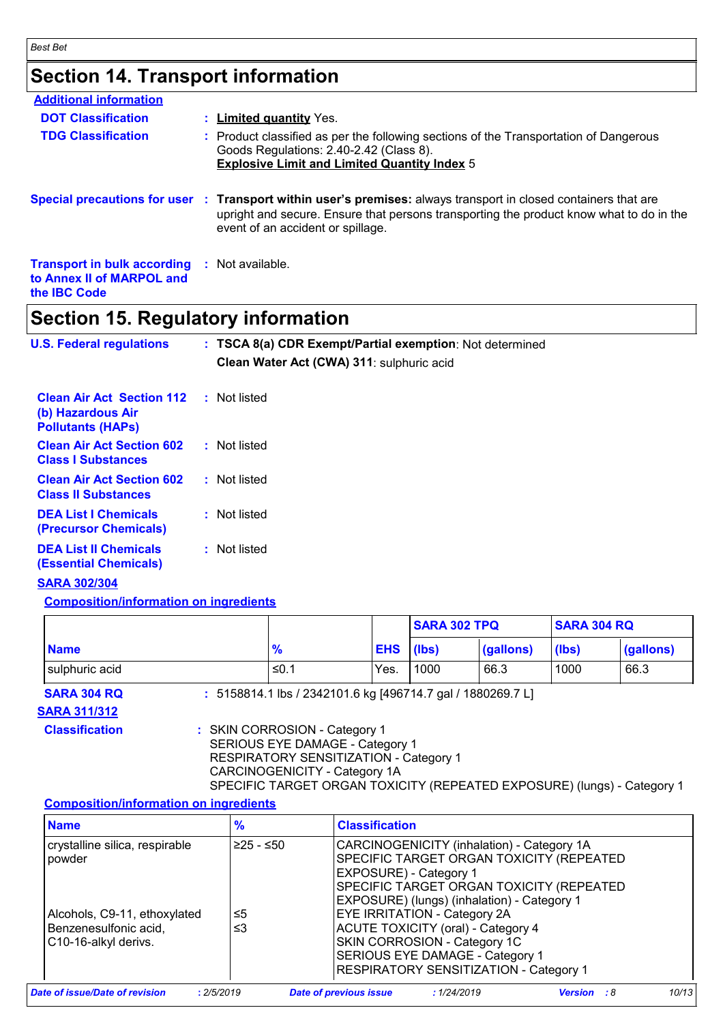### **Section 14. Transport information**

| $\mathbf{A}$ , if you define $\mathbf{B}$ , and the set in factor of $\mathbf{A}$                       |                                                                                                                                                                                                                                                 |
|---------------------------------------------------------------------------------------------------------|-------------------------------------------------------------------------------------------------------------------------------------------------------------------------------------------------------------------------------------------------|
| <b>Transport in bulk according : Not available.</b><br>to Annex II of MARPOL and<br>the <b>IBC</b> Code |                                                                                                                                                                                                                                                 |
|                                                                                                         | Special precautions for user : Transport within user's premises: always transport in closed containers that are<br>upright and secure. Ensure that persons transporting the product know what to do in the<br>event of an accident or spillage. |
| <b>TDG Classification</b>                                                                               | : Product classified as per the following sections of the Transportation of Dangerous<br>Goods Regulations: 2.40-2.42 (Class 8).<br><b>Explosive Limit and Limited Quantity Index 5</b>                                                         |
| <b>DOT Classification</b>                                                                               | : Limited quantity Yes.                                                                                                                                                                                                                         |
| <b>Additional information</b>                                                                           |                                                                                                                                                                                                                                                 |

### **Section 15. Regulatory information**

| <b>U.S. Federal regulations</b>                                                   | : TSCA 8(a) CDR Exempt/Partial exemption: Not determined<br>Clean Water Act (CWA) 311: sulphuric acid |
|-----------------------------------------------------------------------------------|-------------------------------------------------------------------------------------------------------|
| <b>Clean Air Act Section 112</b><br>(b) Hazardous Air<br><b>Pollutants (HAPS)</b> | : Not listed                                                                                          |
| <b>Clean Air Act Section 602</b><br><b>Class I Substances</b>                     | : Not listed                                                                                          |
| <b>Clean Air Act Section 602</b><br><b>Class II Substances</b>                    | : Not listed                                                                                          |
| <b>DEA List I Chemicals</b><br>(Precursor Chemicals)                              | : Not listed                                                                                          |
| <b>DEA List II Chemicals</b><br><b>(Essential Chemicals)</b>                      | : Not listed                                                                                          |

#### **SARA 302/304**

#### **Composition/information on ingredients**

|                                           |                                                             |            | <b>SARA 302 TPQ</b><br><b>SARA 304 RQ</b> |           |       |           |
|-------------------------------------------|-------------------------------------------------------------|------------|-------------------------------------------|-----------|-------|-----------|
| <b>Name</b>                               | $\frac{9}{6}$                                               | <b>EHS</b> | (lbs)                                     | (gallons) | (lbs) | (gallons) |
| sulphuric acid                            | ≤0.1                                                        | Yes.       | 1000                                      | 66.3      | 1000  | 66.3      |
| <b>SARA 304 RQ</b><br><b>SARA 311/312</b> | : 5158814.1 lbs / 2342101.6 kg [496714.7 gal / 1880269.7 L] |            |                                           |           |       |           |

**Classification :** SKIN CORROSION - Category 1

SERIOUS EYE DAMAGE - Category 1

RESPIRATORY SENSITIZATION - Category 1 CARCINOGENICITY - Category 1A

SPECIFIC TARGET ORGAN TOXICITY (REPEATED EXPOSURE) (lungs) - Category 1

#### **Composition/information on ingredients**

| <b>Name</b>                                                                   | %          | <b>Classification</b>                                                                                                                                                                                       |                    |       |
|-------------------------------------------------------------------------------|------------|-------------------------------------------------------------------------------------------------------------------------------------------------------------------------------------------------------------|--------------------|-------|
| crystalline silica, respirable<br>powder                                      | i≥25 - ≤50 | CARCINOGENICITY (inhalation) - Category 1A<br>SPECIFIC TARGET ORGAN TOXICITY (REPEATED<br>EXPOSURE) - Category 1<br>SPECIFIC TARGET ORGAN TOXICITY (REPEATED<br>EXPOSURE) (lungs) (inhalation) - Category 1 |                    |       |
| Alcohols, C9-11, ethoxylated<br>Benzenesulfonic acid,<br>C10-16-alkyl derivs. | ≤5<br>≤3   | EYE IRRITATION - Category 2A<br><b>ACUTE TOXICITY (oral) - Category 4</b><br>SKIN CORROSION - Category 1C<br>SERIOUS EYE DAMAGE - Category 1<br><b>RESPIRATORY SENSITIZATION - Category 1</b>               |                    |       |
| Date of issue/Date of revision                                                | : 2/5/2019 | : 1/24/2019<br><b>Date of previous issue</b>                                                                                                                                                                | <b>Version</b> : 8 | 10/13 |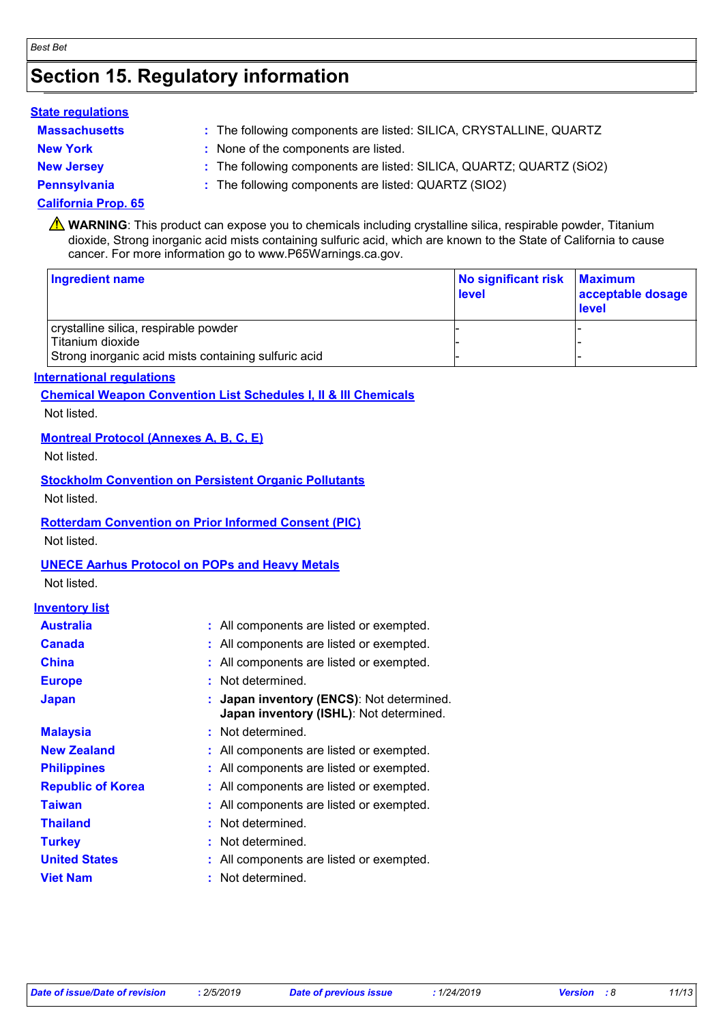### **Section 15. Regulatory information**

#### **State regulations**

- **Massachusetts :**
- 
- The following components are listed: SILICA, CRYSTALLINE, QUARTZ
- **New York :** None of the components are listed.
- **New Jersey :** The following components are listed: SILICA, QUARTZ; QUARTZ (SiO2)
- **Pennsylvania :** The following components are listed: QUARTZ (SIO2)

#### **California Prop. 65**

**A** WARNING: This product can expose you to chemicals including crystalline silica, respirable powder, Titanium dioxide, Strong inorganic acid mists containing sulfuric acid, which are known to the State of California to cause cancer. For more information go to www.P65Warnings.ca.gov.

| <b>Ingredient name</b>                               | No significant risk<br>level | <b>Maximum</b><br>acceptable dosage<br><b>level</b> |
|------------------------------------------------------|------------------------------|-----------------------------------------------------|
| crystalline silica, respirable powder                |                              |                                                     |
| Titanium dioxide                                     |                              |                                                     |
| Strong inorganic acid mists containing sulfuric acid |                              |                                                     |

#### **International regulations**

**Chemical Weapon Convention List Schedules I, II & III Chemicals**

Not listed.

#### **Montreal Protocol (Annexes A, B, C, E)**

Not listed.

#### **Stockholm Convention on Persistent Organic Pollutants**

Not listed.

#### **Rotterdam Convention on Prior Informed Consent (PIC)**

Not listed.

#### **UNECE Aarhus Protocol on POPs and Heavy Metals**

Not listed.

#### **Inventory list**

| <b>Australia</b>         | : All components are listed or exempted.                                             |
|--------------------------|--------------------------------------------------------------------------------------|
| <b>Canada</b>            | : All components are listed or exempted.                                             |
| <b>China</b>             | : All components are listed or exempted.                                             |
| <b>Europe</b>            | : Not determined.                                                                    |
| <b>Japan</b>             | : Japan inventory (ENCS): Not determined.<br>Japan inventory (ISHL): Not determined. |
| <b>Malaysia</b>          | : Not determined.                                                                    |
| <b>New Zealand</b>       | : All components are listed or exempted.                                             |
| <b>Philippines</b>       | : All components are listed or exempted.                                             |
| <b>Republic of Korea</b> | : All components are listed or exempted.                                             |
| <b>Taiwan</b>            | : All components are listed or exempted.                                             |
| <b>Thailand</b>          | : Not determined.                                                                    |
| <b>Turkey</b>            | : Not determined.                                                                    |
| <b>United States</b>     | : All components are listed or exempted.                                             |
| <b>Viet Nam</b>          | : Not determined.                                                                    |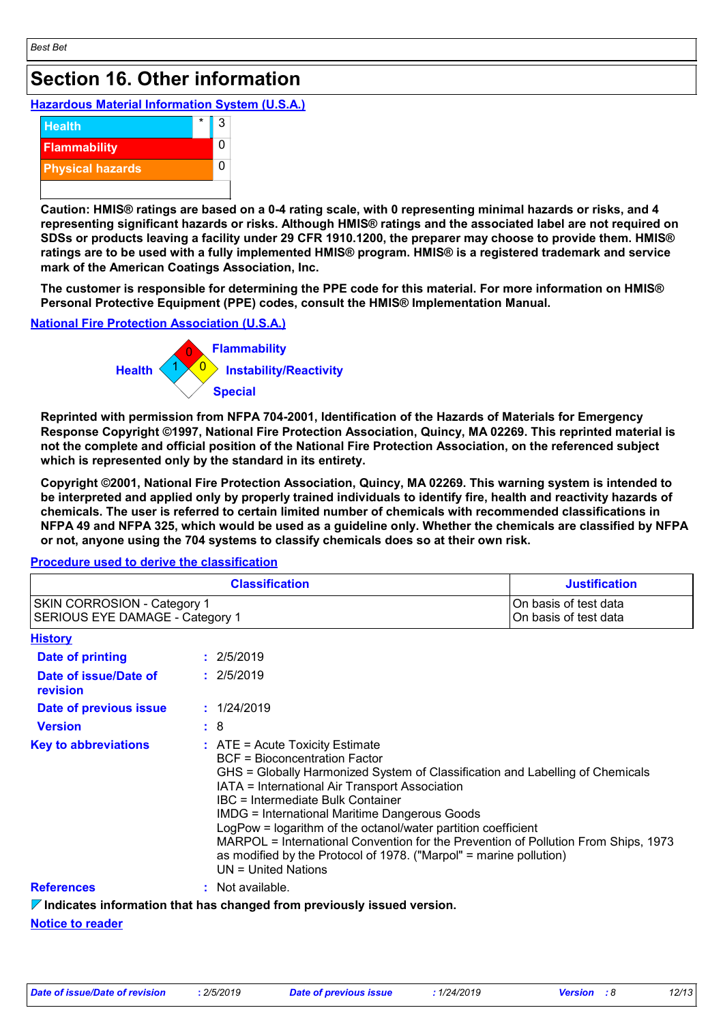### **Section 16. Other information**

#### **Hazardous Material Information System (U.S.A.)**



**Caution: HMIS® ratings are based on a 0-4 rating scale, with 0 representing minimal hazards or risks, and 4 representing significant hazards or risks. Although HMIS® ratings and the associated label are not required on SDSs or products leaving a facility under 29 CFR 1910.1200, the preparer may choose to provide them. HMIS® ratings are to be used with a fully implemented HMIS® program. HMIS® is a registered trademark and service mark of the American Coatings Association, Inc.**

**The customer is responsible for determining the PPE code for this material. For more information on HMIS® Personal Protective Equipment (PPE) codes, consult the HMIS® Implementation Manual.**

#### **National Fire Protection Association (U.S.A.)**



**Reprinted with permission from NFPA 704-2001, Identification of the Hazards of Materials for Emergency Response Copyright ©1997, National Fire Protection Association, Quincy, MA 02269. This reprinted material is not the complete and official position of the National Fire Protection Association, on the referenced subject which is represented only by the standard in its entirety.**

**Copyright ©2001, National Fire Protection Association, Quincy, MA 02269. This warning system is intended to be interpreted and applied only by properly trained individuals to identify fire, health and reactivity hazards of chemicals. The user is referred to certain limited number of chemicals with recommended classifications in NFPA 49 and NFPA 325, which would be used as a guideline only. Whether the chemicals are classified by NFPA or not, anyone using the 704 systems to classify chemicals does so at their own risk.**

## **Procedure used to derive the classification**

| <b>Classification</b><br>SKIN CORROSION - Category 1<br>SERIOUS EYE DAMAGE - Category 1 |  | <b>Justification</b><br>On basis of test data<br>On basis of test data                                                                                                                                                                                                                                                                                                                                                                                                                                                                                                |  |                |
|-----------------------------------------------------------------------------------------|--|-----------------------------------------------------------------------------------------------------------------------------------------------------------------------------------------------------------------------------------------------------------------------------------------------------------------------------------------------------------------------------------------------------------------------------------------------------------------------------------------------------------------------------------------------------------------------|--|----------------|
|                                                                                         |  |                                                                                                                                                                                                                                                                                                                                                                                                                                                                                                                                                                       |  | <u>History</u> |
| Date of printing                                                                        |  | : 2/5/2019                                                                                                                                                                                                                                                                                                                                                                                                                                                                                                                                                            |  |                |
| Date of issue/Date of<br>revision                                                       |  | : 2/5/2019                                                                                                                                                                                                                                                                                                                                                                                                                                                                                                                                                            |  |                |
| Date of previous issue                                                                  |  | : 1/24/2019                                                                                                                                                                                                                                                                                                                                                                                                                                                                                                                                                           |  |                |
| <b>Version</b>                                                                          |  |                                                                                                                                                                                                                                                                                                                                                                                                                                                                                                                                                                       |  |                |
| <b>Key to abbreviations</b>                                                             |  | :8<br>$:$ ATE = Acute Toxicity Estimate<br><b>BCF</b> = Bioconcentration Factor<br>GHS = Globally Harmonized System of Classification and Labelling of Chemicals<br>IATA = International Air Transport Association<br>IBC = Intermediate Bulk Container<br><b>IMDG = International Maritime Dangerous Goods</b><br>LogPow = logarithm of the octanol/water partition coefficient<br>MARPOL = International Convention for the Prevention of Pollution From Ships, 1973<br>as modified by the Protocol of 1978. ("Marpol" = marine pollution)<br>$UN = United Nations$ |  |                |
| <b>References</b>                                                                       |  | : Not available.                                                                                                                                                                                                                                                                                                                                                                                                                                                                                                                                                      |  |                |
|                                                                                         |  | $\nabla$ Indicates information that has changed from previously issued version.                                                                                                                                                                                                                                                                                                                                                                                                                                                                                       |  |                |

**Notice to reader**